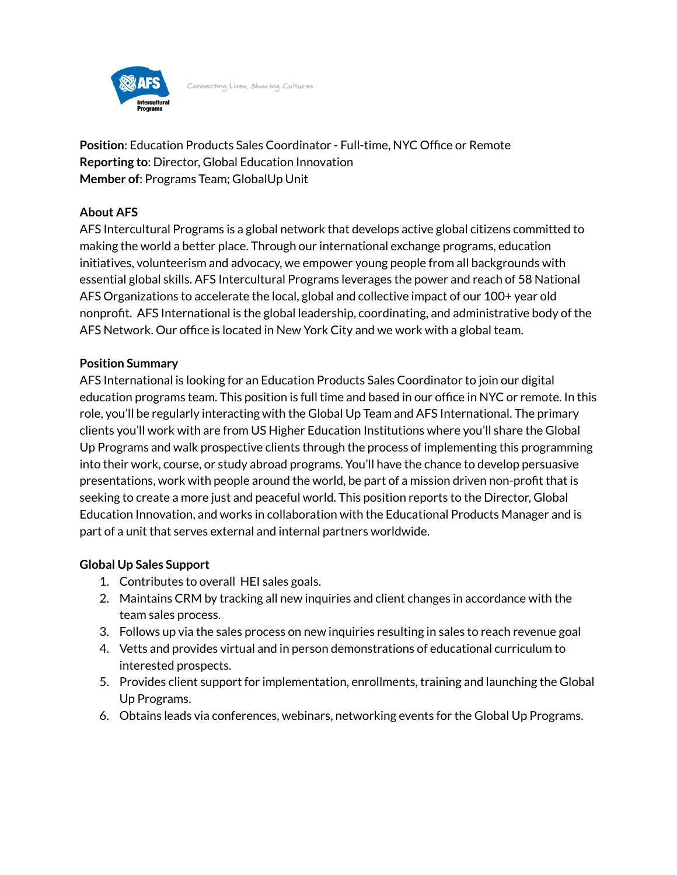

Connecting Lives, Sharing Cultures

**Position**: Education Products Sales Coordinator - Full-time, NYC Office or Remote **Reporting to**: Director, Global Education Innovation **Member of**: Programs Team; GlobalUp Unit

# **About AFS**

AFS Intercultural Programs is a global network that develops active global citizens committed to making the world a better place. Through our international exchange programs, education initiatives, volunteerism and advocacy, we empower young people from all backgrounds with essential global skills. AFS Intercultural Programs leverages the power and reach of 58 National AFS Organizations to accelerate the local, global and collective impact of our 100+ year old nonprofit. AFS International is the global leadership, coordinating, and administrative body of the AFS Network. Our office is located in New York City and we work with a global team.

#### **Position Summary**

AFS International is looking for an Education Products Sales Coordinator to join our digital education programs team. This position is full time and based in our office in NYC or remote. In this role, you'll be regularly interacting with the Global Up Team and AFS International. The primary clients you'll work with are from US Higher Education Institutions where you'll share the Global Up Programs and walk prospective clients through the process of implementing this programming into their work, course, or study abroad programs. You'll have the chance to develop persuasive presentations, work with people around the world, be part of a mission driven non-profit that is seeking to create a more just and peaceful world. This position reports to the Director, Global Education Innovation, and works in collaboration with the Educational Products Manager and is part of a unit that serves external and internal partners worldwide.

## **Global Up Sales Support**

- 1. Contributes to overall HEI sales goals.
- 2. Maintains CRM by tracking all new inquiries and client changes in accordance with the team sales process.
- 3. Follows up via the sales process on new inquiries resulting in sales to reach revenue goal
- 4. Vetts and provides virtual and in person demonstrations of educational curriculum to interested prospects.
- 5. Provides client support for implementation, enrollments, training and launching the Global Up Programs.
- 6. Obtains leads via conferences, webinars, networking events for the Global Up Programs.